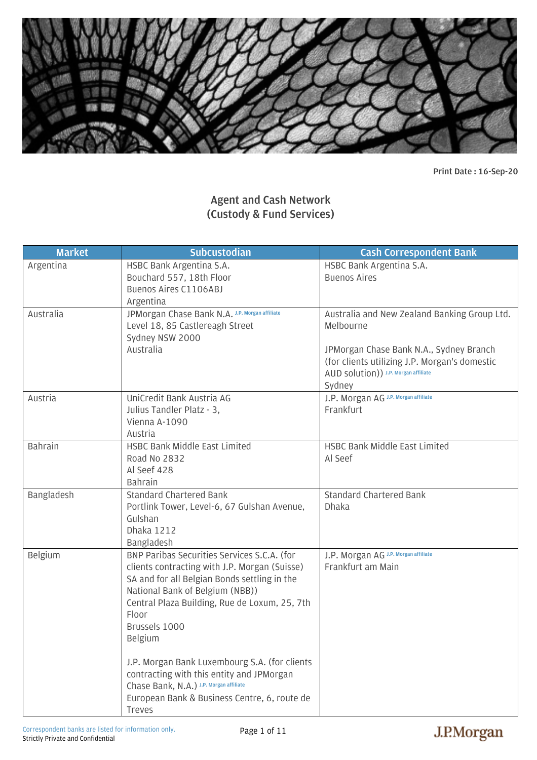

**Print Date : 16-Sep-20** 

## **Agent and Cash Network (Custody & Fund Services)**

| <b>Market</b>  | <b>Subcustodian</b>                                                                                                                                                                                                                                                                                                    | <b>Cash Correspondent Bank</b>                                                                                                                                                                          |
|----------------|------------------------------------------------------------------------------------------------------------------------------------------------------------------------------------------------------------------------------------------------------------------------------------------------------------------------|---------------------------------------------------------------------------------------------------------------------------------------------------------------------------------------------------------|
| Argentina      | HSBC Bank Argentina S.A.<br>Bouchard 557, 18th Floor<br>Buenos Aires C1106ABJ<br>Argentina                                                                                                                                                                                                                             | HSBC Bank Argentina S.A.<br><b>Buenos Aires</b>                                                                                                                                                         |
| Australia      | JPMorgan Chase Bank N.A. J.P. Morgan affiliate<br>Level 18, 85 Castlereagh Street<br>Sydney NSW 2000<br>Australia                                                                                                                                                                                                      | Australia and New Zealand Banking Group Ltd.<br>Melbourne<br>JPMorgan Chase Bank N.A., Sydney Branch<br>(for clients utilizing J.P. Morgan's domestic<br>AUD Solution)) J.P. Morgan affiliate<br>Sydney |
| Austria        | UniCredit Bank Austria AG<br>Julius Tandler Platz - 3,<br>Vienna A-1090<br>Austria                                                                                                                                                                                                                                     | J.P. Morgan AG J.P. Morgan affiliate<br>Frankfurt                                                                                                                                                       |
| <b>Bahrain</b> | HSBC Bank Middle East Limited<br>Road No 2832<br>Al Seef 428<br><b>Bahrain</b>                                                                                                                                                                                                                                         | HSBC Bank Middle East Limited<br>Al Seef                                                                                                                                                                |
| Bangladesh     | <b>Standard Chartered Bank</b><br>Portlink Tower, Level-6, 67 Gulshan Avenue,<br>Gulshan<br><b>Dhaka 1212</b><br>Bangladesh                                                                                                                                                                                            | <b>Standard Chartered Bank</b><br><b>Dhaka</b>                                                                                                                                                          |
| Belgium        | BNP Paribas Securities Services S.C.A. (for<br>clients contracting with J.P. Morgan (Suisse)<br>SA and for all Belgian Bonds settling in the<br>National Bank of Belgium (NBB))<br>Central Plaza Building, Rue de Loxum, 25, 7th<br>Floor<br>Brussels 1000<br>Belgium<br>J.P. Morgan Bank Luxembourg S.A. (for clients | J.P. Morgan AG J.P. Morgan affiliate<br>Frankfurt am Main                                                                                                                                               |
|                | contracting with this entity and JPMorgan<br>Chase Bank, N.A.) J.P. Morgan affiliate<br>European Bank & Business Centre, 6, route de<br><b>Treves</b>                                                                                                                                                                  |                                                                                                                                                                                                         |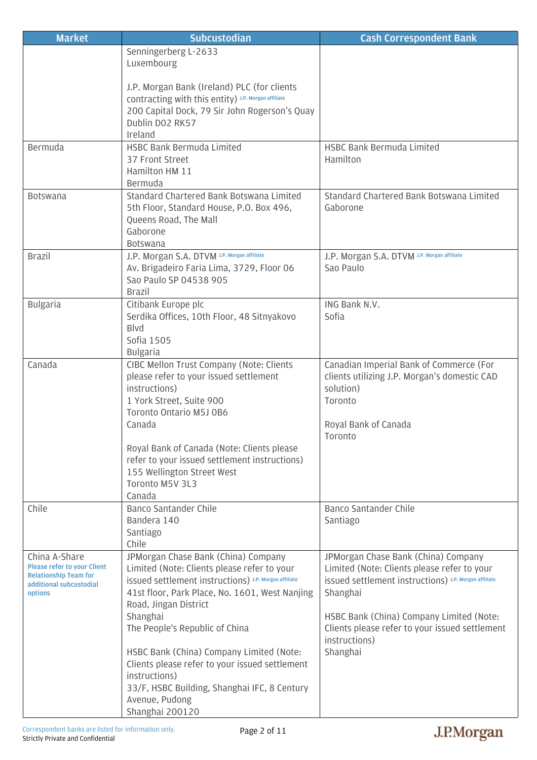| <b>Market</b>                                                                                                             | <b>Subcustodian</b>                                                                                                                                                                                                                                                  | <b>Cash Correspondent Bank</b>                                                                                                                                                                                                                               |
|---------------------------------------------------------------------------------------------------------------------------|----------------------------------------------------------------------------------------------------------------------------------------------------------------------------------------------------------------------------------------------------------------------|--------------------------------------------------------------------------------------------------------------------------------------------------------------------------------------------------------------------------------------------------------------|
|                                                                                                                           | Senningerberg L-2633<br>Luxembourg                                                                                                                                                                                                                                   |                                                                                                                                                                                                                                                              |
|                                                                                                                           | J.P. Morgan Bank (Ireland) PLC (for clients<br>COntracting with this entity) J.P. Morgan affiliate<br>200 Capital Dock, 79 Sir John Rogerson's Quay<br>Dublin DO2 RK57<br>Ireland                                                                                    |                                                                                                                                                                                                                                                              |
| Bermuda                                                                                                                   | HSBC Bank Bermuda Limited<br>37 Front Street<br>Hamilton HM 11<br>Bermuda                                                                                                                                                                                            | <b>HSBC Bank Bermuda Limited</b><br>Hamilton                                                                                                                                                                                                                 |
| <b>Botswana</b>                                                                                                           | Standard Chartered Bank Botswana Limited<br>5th Floor, Standard House, P.O. Box 496,<br>Queens Road, The Mall<br>Gaborone<br>Botswana                                                                                                                                | Standard Chartered Bank Botswana Limited<br>Gaborone                                                                                                                                                                                                         |
| <b>Brazil</b>                                                                                                             | J.P. Morgan S.A. DTVM J.P. Morgan affiliate<br>Av. Brigadeiro Faria Lima, 3729, Floor 06<br>Sao Paulo SP 04538 905<br><b>Brazil</b>                                                                                                                                  | J.P. Morgan S.A. DTVM J.P. Morgan affiliate<br>Sao Paulo                                                                                                                                                                                                     |
| <b>Bulgaria</b>                                                                                                           | Citibank Europe plc<br>Serdika Offices, 10th Floor, 48 Sitnyakovo<br><b>B</b> lvd<br>Sofia 1505<br><b>Bulgaria</b>                                                                                                                                                   | ING Bank N.V.<br>Sofia                                                                                                                                                                                                                                       |
| Canada                                                                                                                    | CIBC Mellon Trust Company (Note: Clients<br>please refer to your issued settlement<br>instructions)<br>1 York Street, Suite 900<br>Toronto Ontario M5J 0B6<br>Canada                                                                                                 | Canadian Imperial Bank of Commerce (For<br>clients utilizing J.P. Morgan's domestic CAD<br>solution)<br>Toronto<br>Royal Bank of Canada<br>Toronto                                                                                                           |
|                                                                                                                           | Royal Bank of Canada (Note: Clients please<br>refer to your issued settlement instructions)<br>155 Wellington Street West<br>Toronto M5V 3L3<br>Canada                                                                                                               |                                                                                                                                                                                                                                                              |
| Chile                                                                                                                     | Banco Santander Chile<br>Bandera 140<br>Santiago<br>Chile                                                                                                                                                                                                            | Banco Santander Chile<br>Santiago                                                                                                                                                                                                                            |
| China A-Share<br><b>Please refer to your Client</b><br><b>Relationship Team for</b><br>additional subcustodial<br>options | JPMorgan Chase Bank (China) Company<br>Limited (Note: Clients please refer to your<br>issued settlement instructions) J.P. Morgan affiliate<br>41st floor, Park Place, No. 1601, West Nanjing<br>Road, Jingan District<br>Shanghai<br>The People's Republic of China | JPMorgan Chase Bank (China) Company<br>Limited (Note: Clients please refer to your<br><b>issued settlement instructions)</b> J.P. Morgan affiliate<br>Shanghai<br>HSBC Bank (China) Company Limited (Note:<br>Clients please refer to your issued settlement |
|                                                                                                                           | HSBC Bank (China) Company Limited (Note:<br>Clients please refer to your issued settlement<br>instructions)<br>33/F, HSBC Building, Shanghai IFC, 8 Century<br>Avenue, Pudong<br>Shanghai 200120                                                                     | instructions)<br>Shanghai                                                                                                                                                                                                                                    |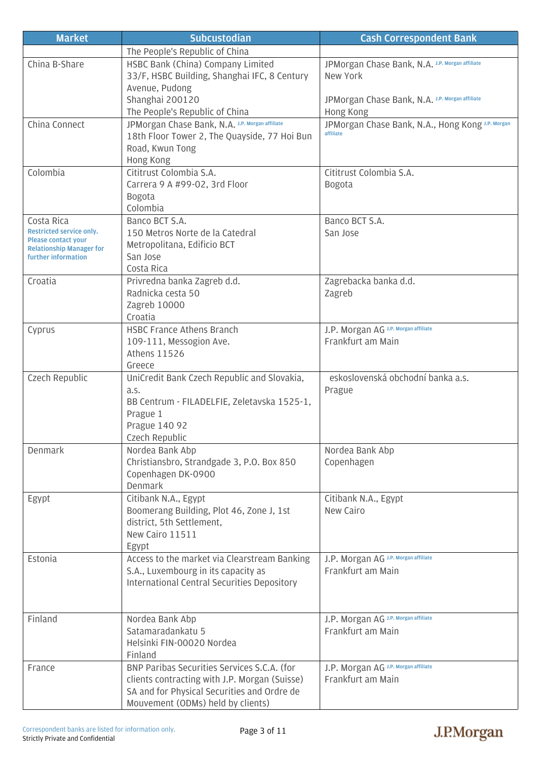| <b>Market</b>                                          | <b>Subcustodian</b>                                | <b>Cash Correspondent Bank</b>                   |
|--------------------------------------------------------|----------------------------------------------------|--------------------------------------------------|
|                                                        | The People's Republic of China                     |                                                  |
| China B-Share                                          | HSBC Bank (China) Company Limited                  | JPMorgan Chase Bank, N.A. J.P. Morgan affiliate  |
|                                                        | 33/F, HSBC Building, Shanghai IFC, 8 Century       | New York                                         |
|                                                        | Avenue, Pudong                                     |                                                  |
|                                                        | Shanghai 200120                                    | JPMorgan Chase Bank, N.A. J.P. Morgan affiliate  |
|                                                        | The People's Republic of China                     | Hong Kong                                        |
| China Connect                                          | JPMorgan Chase Bank, N.A. J.P. Morgan affiliate    | JPMorgan Chase Bank, N.A., Hong Kong J.P. Morgan |
|                                                        | 18th Floor Tower 2, The Quayside, 77 Hoi Bun       | affiliate                                        |
|                                                        | Road, Kwun Tong                                    |                                                  |
|                                                        | Hong Kong                                          |                                                  |
| Colombia                                               | Cititrust Colombia S.A.                            | Cititrust Colombia S.A.                          |
|                                                        | Carrera 9 A #99-02, 3rd Floor                      | Bogota                                           |
|                                                        | <b>Bogota</b>                                      |                                                  |
|                                                        | Colombia                                           |                                                  |
| Costa Rica                                             | Banco BCT S.A.                                     | Banco BCT S.A.                                   |
| Restricted service only.<br><b>Please contact your</b> | 150 Metros Norte de la Catedral                    | San Jose                                         |
| <b>Relationship Manager for</b>                        | Metropolitana, Edificio BCT                        |                                                  |
| further information                                    | San Jose                                           |                                                  |
|                                                        | Costa Rica                                         |                                                  |
| Croatia                                                | Privredna banka Zagreb d.d.                        | Zagrebacka banka d.d.                            |
|                                                        | Radnicka cesta 50                                  | Zagreb                                           |
|                                                        | Zagreb 10000                                       |                                                  |
|                                                        | Croatia                                            |                                                  |
| Cyprus                                                 | <b>HSBC France Athens Branch</b>                   | J.P. Morgan AG J.P. Morgan affiliate             |
|                                                        | 109-111, Messogion Ave.                            | Frankfurt am Main                                |
|                                                        | <b>Athens 11526</b>                                |                                                  |
|                                                        | Greece                                             |                                                  |
| Czech Republic                                         | UniCredit Bank Czech Republic and Slovakia,        | eskoslovenská obchodní banka a.s.                |
|                                                        | a.s.                                               | Prague                                           |
|                                                        | BB Centrum - FILADELFIE, Zeletavska 1525-1,        |                                                  |
|                                                        | Prague 1<br>Prague 140 92                          |                                                  |
|                                                        | Czech Republic                                     |                                                  |
| Denmark                                                | Nordea Bank Abp                                    | Nordea Bank Abp                                  |
|                                                        | Christiansbro, Strandgade 3, P.O. Box 850          | Copenhagen                                       |
|                                                        | Copenhagen DK-0900                                 |                                                  |
|                                                        | Denmark                                            |                                                  |
| Egypt                                                  | Citibank N.A., Egypt                               | Citibank N.A., Egypt                             |
|                                                        | Boomerang Building, Plot 46, Zone J, 1st           | New Cairo                                        |
|                                                        | district, 5th Settlement,                          |                                                  |
|                                                        | New Cairo 11511                                    |                                                  |
|                                                        | Egypt                                              |                                                  |
| Estonia                                                | Access to the market via Clearstream Banking       | J.P. Morgan AG J.P. Morgan affiliate             |
|                                                        | S.A., Luxembourg in its capacity as                | Frankfurt am Main                                |
|                                                        | <b>International Central Securities Depository</b> |                                                  |
|                                                        |                                                    |                                                  |
|                                                        |                                                    |                                                  |
| Finland                                                | Nordea Bank Abp                                    | J.P. Morgan AG J.P. Morgan affiliate             |
|                                                        | Satamaradankatu 5                                  | Frankfurt am Main                                |
|                                                        | Helsinki FIN-00020 Nordea                          |                                                  |
|                                                        | Finland                                            |                                                  |
| France                                                 | BNP Paribas Securities Services S.C.A. (for        | J.P. Morgan AG J.P. Morgan affiliate             |
|                                                        | clients contracting with J.P. Morgan (Suisse)      | Frankfurt am Main                                |
|                                                        | SA and for Physical Securities and Ordre de        |                                                  |
|                                                        | Mouvement (ODMs) held by clients)                  |                                                  |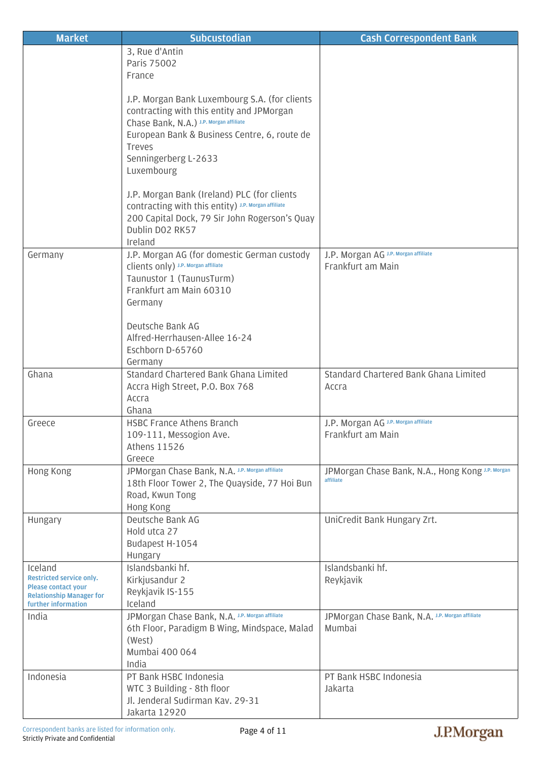| <b>Market</b>                                                 | <b>Subcustodian</b>                                                                                  | <b>Cash Correspondent Bank</b>                            |
|---------------------------------------------------------------|------------------------------------------------------------------------------------------------------|-----------------------------------------------------------|
|                                                               | 3, Rue d'Antin                                                                                       |                                                           |
|                                                               | Paris 75002                                                                                          |                                                           |
|                                                               | France                                                                                               |                                                           |
|                                                               |                                                                                                      |                                                           |
|                                                               | J.P. Morgan Bank Luxembourg S.A. (for clients<br>contracting with this entity and JPMorgan           |                                                           |
|                                                               | Chase Bank, N.A.) J.P. Morgan affiliate                                                              |                                                           |
|                                                               | European Bank & Business Centre, 6, route de                                                         |                                                           |
|                                                               | <b>Treves</b>                                                                                        |                                                           |
|                                                               | Senningerberg L-2633                                                                                 |                                                           |
|                                                               | Luxembourg                                                                                           |                                                           |
|                                                               |                                                                                                      |                                                           |
|                                                               | J.P. Morgan Bank (Ireland) PLC (for clients                                                          |                                                           |
|                                                               | COntracting with this entity) J.P. Morgan affiliate<br>200 Capital Dock, 79 Sir John Rogerson's Quay |                                                           |
|                                                               | Dublin DO2 RK57                                                                                      |                                                           |
|                                                               | Ireland                                                                                              |                                                           |
| Germany                                                       | J.P. Morgan AG (for domestic German custody                                                          | J.P. Morgan AG J.P. Morgan affiliate                      |
|                                                               | Clients only) J.P. Morgan affiliate                                                                  | Frankfurt am Main                                         |
|                                                               | Taunustor 1 (TaunusTurm)                                                                             |                                                           |
|                                                               | Frankfurt am Main 60310                                                                              |                                                           |
|                                                               | Germany                                                                                              |                                                           |
|                                                               | Deutsche Bank AG                                                                                     |                                                           |
|                                                               | Alfred-Herrhausen-Allee 16-24                                                                        |                                                           |
|                                                               | Eschborn D-65760                                                                                     |                                                           |
|                                                               | Germany                                                                                              |                                                           |
| Ghana                                                         | Standard Chartered Bank Ghana Limited                                                                | Standard Chartered Bank Ghana Limited                     |
|                                                               | Accra High Street, P.O. Box 768                                                                      | Accra                                                     |
|                                                               | Accra                                                                                                |                                                           |
|                                                               | Ghana                                                                                                |                                                           |
| Greece                                                        | <b>HSBC France Athens Branch</b>                                                                     | J.P. Morgan AG J.P. Morgan affiliate<br>Frankfurt am Main |
|                                                               | 109-111, Messogion Ave.<br><b>Athens 11526</b>                                                       |                                                           |
|                                                               | Greece                                                                                               |                                                           |
| Hong Kong                                                     | JPMorgan Chase Bank, N.A. J.P. Morgan affiliate                                                      | JPMorgan Chase Bank, N.A., Hong Kong J.P. Morgan          |
|                                                               | 18th Floor Tower 2, The Quayside, 77 Hoi Bun                                                         | affiliate                                                 |
|                                                               | Road, Kwun Tong                                                                                      |                                                           |
|                                                               | Hong Kong                                                                                            |                                                           |
| Hungary                                                       | Deutsche Bank AG                                                                                     | UniCredit Bank Hungary Zrt.                               |
|                                                               | Hold utca 27                                                                                         |                                                           |
|                                                               | Budapest H-1054<br>Hungary                                                                           |                                                           |
| Iceland                                                       | Islandsbanki hf.                                                                                     | Islandsbanki hf.                                          |
| Restricted service only.                                      | Kirkjusandur 2                                                                                       | Reykjavik                                                 |
| <b>Please contact your</b><br><b>Relationship Manager for</b> | Reykjavik IS-155                                                                                     |                                                           |
| further information                                           | Iceland                                                                                              |                                                           |
| India                                                         | JPMorgan Chase Bank, N.A. J.P. Morgan affiliate                                                      | JPMorgan Chase Bank, N.A. J.P. Morgan affiliate           |
|                                                               | 6th Floor, Paradigm B Wing, Mindspace, Malad                                                         | Mumbai                                                    |
|                                                               | (West)                                                                                               |                                                           |
|                                                               | Mumbai 400 064<br>India                                                                              |                                                           |
| Indonesia                                                     | PT Bank HSBC Indonesia                                                                               | PT Bank HSBC Indonesia                                    |
|                                                               | WTC 3 Building - 8th floor                                                                           | Jakarta                                                   |
|                                                               | Jl. Jenderal Sudirman Kav. 29-31                                                                     |                                                           |
|                                                               | Jakarta 12920                                                                                        |                                                           |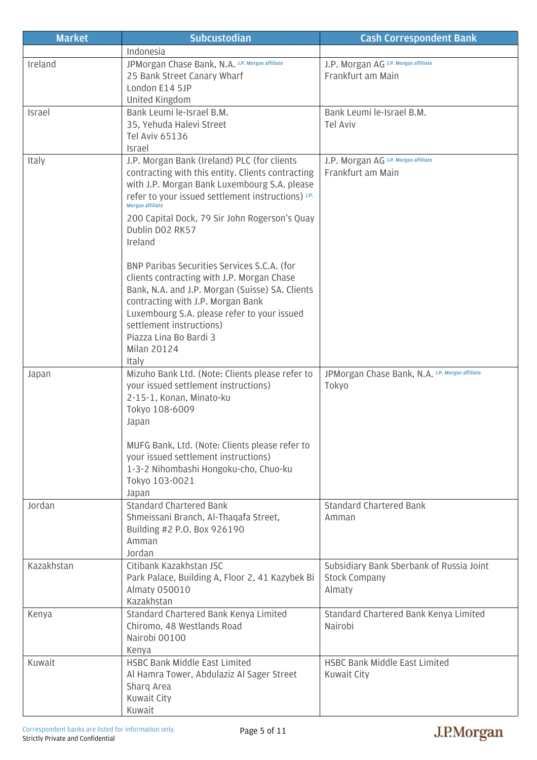| <b>Market</b> | <b>Subcustodian</b>                                                           | <b>Cash Correspondent Bank</b>                  |
|---------------|-------------------------------------------------------------------------------|-------------------------------------------------|
|               | Indonesia                                                                     |                                                 |
| Ireland       | JPMorgan Chase Bank, N.A. J.P. Morgan affiliate                               | J.P. Morgan AG J.P. Morgan affiliate            |
|               | 25 Bank Street Canary Wharf                                                   | Frankfurt am Main                               |
|               | London E14 5JP                                                                |                                                 |
|               | United Kingdom                                                                |                                                 |
| Israel        | Bank Leumi le-Israel B.M.                                                     | Bank Leumi le-Israel B.M.                       |
|               | 35, Yehuda Halevi Street<br><b>Tel Aviv 65136</b>                             | <b>Tel Aviv</b>                                 |
|               | Israel                                                                        |                                                 |
| Italy         | J.P. Morgan Bank (Ireland) PLC (for clients                                   | J.P. Morgan AG J.P. Morgan affiliate            |
|               | contracting with this entity. Clients contracting                             | Frankfurt am Main                               |
|               | with J.P. Morgan Bank Luxembourg S.A. please                                  |                                                 |
|               | refer to your issued settlement instructions) J.P.<br><b>Morgan affiliate</b> |                                                 |
|               | 200 Capital Dock, 79 Sir John Rogerson's Quay                                 |                                                 |
|               | Dublin DO2 RK57                                                               |                                                 |
|               | Ireland                                                                       |                                                 |
|               | BNP Paribas Securities Services S.C.A. (for                                   |                                                 |
|               | clients contracting with J.P. Morgan Chase                                    |                                                 |
|               | Bank, N.A. and J.P. Morgan (Suisse) SA. Clients                               |                                                 |
|               | contracting with J.P. Morgan Bank                                             |                                                 |
|               | Luxembourg S.A. please refer to your issued                                   |                                                 |
|               | settlement instructions)                                                      |                                                 |
|               | Piazza Lina Bo Bardi 3<br><b>Milan 20124</b>                                  |                                                 |
|               | Italy                                                                         |                                                 |
| Japan         | Mizuho Bank Ltd. (Note: Clients please refer to                               | JPMorgan Chase Bank, N.A. J.P. Morgan affiliate |
|               | your issued settlement instructions)                                          | Tokyo                                           |
|               | 2-15-1, Konan, Minato-ku                                                      |                                                 |
|               | Tokyo 108-6009                                                                |                                                 |
|               | Japan                                                                         |                                                 |
|               | MUFG Bank, Ltd. (Note: Clients please refer to                                |                                                 |
|               | your issued settlement instructions)                                          |                                                 |
|               | 1-3-2 Nihombashi Hongoku-cho, Chuo-ku                                         |                                                 |
|               | Tokyo 103-0021                                                                |                                                 |
|               | Japan                                                                         |                                                 |
| Jordan        | <b>Standard Chartered Bank</b><br>Shmeissani Branch, Al-Thagafa Street,       | <b>Standard Chartered Bank</b><br>Amman         |
|               | Building #2 P.O. Box 926190                                                   |                                                 |
|               | Amman                                                                         |                                                 |
|               | Jordan                                                                        |                                                 |
| Kazakhstan    | Citibank Kazakhstan JSC                                                       | Subsidiary Bank Sberbank of Russia Joint        |
|               | Park Palace, Building A, Floor 2, 41 Kazybek Bi                               | <b>Stock Company</b>                            |
|               | <b>Almaty 050010</b>                                                          | Almaty                                          |
| Kenya         | Kazakhstan<br>Standard Chartered Bank Kenya Limited                           | Standard Chartered Bank Kenya Limited           |
|               | Chiromo, 48 Westlands Road                                                    | Nairobi                                         |
|               | Nairobi 00100                                                                 |                                                 |
|               | Kenya                                                                         |                                                 |
| Kuwait        | <b>HSBC Bank Middle East Limited</b>                                          | HSBC Bank Middle East Limited                   |
|               | Al Hamra Tower, Abdulaziz Al Sager Street                                     | Kuwait City                                     |
|               | Sharq Area                                                                    |                                                 |
|               | Kuwait City                                                                   |                                                 |
|               | Kuwait                                                                        |                                                 |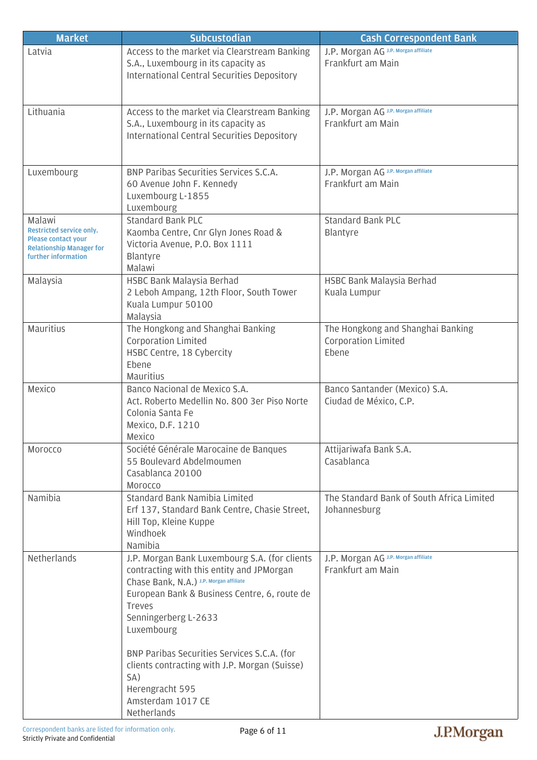| <b>Market</b>                                                                                                              | <b>Subcustodian</b>                                                                                                                                                                                                                                                                                                                                                    | <b>Cash Correspondent Bank</b>                                    |
|----------------------------------------------------------------------------------------------------------------------------|------------------------------------------------------------------------------------------------------------------------------------------------------------------------------------------------------------------------------------------------------------------------------------------------------------------------------------------------------------------------|-------------------------------------------------------------------|
| Latvia                                                                                                                     | Access to the market via Clearstream Banking<br>S.A., Luxembourg in its capacity as<br>International Central Securities Depository                                                                                                                                                                                                                                     | J.P. Morgan AG J.P. Morgan affiliate<br>Frankfurt am Main         |
| Lithuania                                                                                                                  | Access to the market via Clearstream Banking<br>S.A., Luxembourg in its capacity as<br><b>International Central Securities Depository</b>                                                                                                                                                                                                                              | J.P. Morgan AG J.P. Morgan affiliate<br>Frankfurt am Main         |
| Luxembourg                                                                                                                 | BNP Paribas Securities Services S.C.A.<br>60 Avenue John F. Kennedy<br>Luxembourg L-1855<br>Luxembourg                                                                                                                                                                                                                                                                 | J.P. Morgan AG J.P. Morgan affiliate<br>Frankfurt am Main         |
| Malawi<br>Restricted service only.<br><b>Please contact your</b><br><b>Relationship Manager for</b><br>further information | <b>Standard Bank PLC</b><br>Kaomba Centre, Cnr Glyn Jones Road &<br>Victoria Avenue, P.O. Box 1111<br>Blantyre<br>Malawi                                                                                                                                                                                                                                               | <b>Standard Bank PLC</b><br>Blantyre                              |
| Malaysia                                                                                                                   | HSBC Bank Malaysia Berhad<br>2 Leboh Ampang, 12th Floor, South Tower<br>Kuala Lumpur 50100<br>Malaysia                                                                                                                                                                                                                                                                 | HSBC Bank Malaysia Berhad<br>Kuala Lumpur                         |
| Mauritius                                                                                                                  | The Hongkong and Shanghai Banking<br><b>Corporation Limited</b><br>HSBC Centre, 18 Cybercity<br>Ebene<br>Mauritius                                                                                                                                                                                                                                                     | The Hongkong and Shanghai Banking<br>Corporation Limited<br>Ebene |
| Mexico                                                                                                                     | Banco Nacional de Mexico S.A.<br>Act. Roberto Medellin No. 800 3er Piso Norte<br>Colonia Santa Fe<br>Mexico, D.F. 1210<br>Mexico                                                                                                                                                                                                                                       | Banco Santander (Mexico) S.A.<br>Ciudad de México, C.P.           |
| Morocco                                                                                                                    | Société Générale Marocaine de Banques<br>55 Boulevard Abdelmoumen<br>Casablanca 20100<br>Morocco                                                                                                                                                                                                                                                                       | Attijariwafa Bank S.A.<br>Casablanca                              |
| Namibia                                                                                                                    | Standard Bank Namibia Limited<br>Erf 137, Standard Bank Centre, Chasie Street,<br>Hill Top, Kleine Kuppe<br>Windhoek<br>Namibia                                                                                                                                                                                                                                        | The Standard Bank of South Africa Limited<br>Johannesburg         |
| Netherlands                                                                                                                | J.P. Morgan Bank Luxembourg S.A. (for clients<br>contracting with this entity and JPMorgan<br>Chase Bank, N.A.) J.P. Morgan affiliate<br>European Bank & Business Centre, 6, route de<br><b>Treves</b><br>Senningerberg L-2633<br>Luxembourg<br>BNP Paribas Securities Services S.C.A. (for<br>clients contracting with J.P. Morgan (Suisse)<br>SA)<br>Herengracht 595 | J.P. Morgan AG J.P. Morgan affiliate<br>Frankfurt am Main         |
|                                                                                                                            | Amsterdam 1017 CE<br>Netherlands                                                                                                                                                                                                                                                                                                                                       |                                                                   |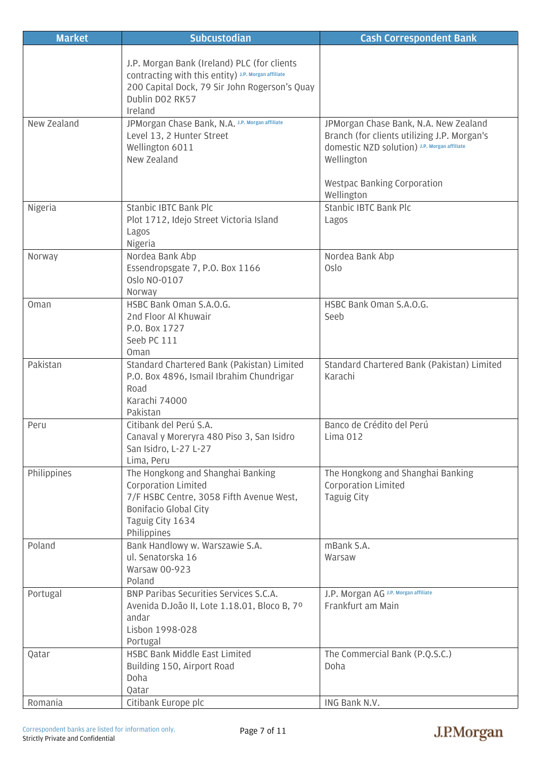| <b>Market</b> | <b>Subcustodian</b>                                                                                                                                                               | <b>Cash Correspondent Bank</b>                                                                                                                                                                         |
|---------------|-----------------------------------------------------------------------------------------------------------------------------------------------------------------------------------|--------------------------------------------------------------------------------------------------------------------------------------------------------------------------------------------------------|
|               | J.P. Morgan Bank (Ireland) PLC (for clients<br>COntracting with this entity) J.P. Morgan affiliate<br>200 Capital Dock, 79 Sir John Rogerson's Quay<br>Dublin DO2 RK57<br>Ireland |                                                                                                                                                                                                        |
| New Zealand   | JPMorgan Chase Bank, N.A. J.P. Morgan affiliate<br>Level 13, 2 Hunter Street<br>Wellington 6011<br>New Zealand                                                                    | JPMorgan Chase Bank, N.A. New Zealand<br>Branch (for clients utilizing J.P. Morgan's<br>domestic NZD solution) J.P. Morgan affiliate<br>Wellington<br><b>Westpac Banking Corporation</b><br>Wellington |
| Nigeria       | <b>Stanbic IBTC Bank Plc</b><br>Plot 1712, Idejo Street Victoria Island<br>Lagos<br>Nigeria                                                                                       | Stanbic IBTC Bank Plc<br>Lagos                                                                                                                                                                         |
| Norway        | Nordea Bank Abp<br>Essendropsgate 7, P.O. Box 1166<br>Oslo NO-0107<br>Norway                                                                                                      | Nordea Bank Abp<br>Oslo                                                                                                                                                                                |
| Oman          | HSBC Bank Oman S.A.O.G.<br>2nd Floor Al Khuwair<br>P.O. Box 1727<br>Seeb PC 111<br>Oman                                                                                           | HSBC Bank Oman S.A.O.G.<br>Seeb                                                                                                                                                                        |
| Pakistan      | Standard Chartered Bank (Pakistan) Limited<br>P.O. Box 4896, Ismail Ibrahim Chundrigar<br>Road<br>Karachi 74000<br>Pakistan                                                       | Standard Chartered Bank (Pakistan) Limited<br>Karachi                                                                                                                                                  |
| Peru          | Citibank del Perú S.A.<br>Canaval y Moreryra 480 Piso 3, San Isidro<br>San Isidro, L-27 L-27<br>Lima, Peru                                                                        | Banco de Crédito del Perú<br>Lima 012                                                                                                                                                                  |
| Philippines   | The Hongkong and Shanghai Banking<br><b>Corporation Limited</b><br>7/F HSBC Centre, 3058 Fifth Avenue West,<br><b>Bonifacio Global City</b><br>Taguig City 1634<br>Philippines    | The Hongkong and Shanghai Banking<br><b>Corporation Limited</b><br><b>Taguig City</b>                                                                                                                  |
| Poland        | Bank Handlowy w. Warszawie S.A.<br>ul. Senatorska 16<br>Warsaw 00-923<br>Poland                                                                                                   | mBank S.A.<br>Warsaw                                                                                                                                                                                   |
| Portugal      | BNP Paribas Securities Services S.C.A.<br>Avenida D.João II, Lote 1.18.01, Bloco B, 7º<br>andar<br>Lisbon 1998-028<br>Portugal                                                    | J.P. Morgan AG J.P. Morgan affiliate<br>Frankfurt am Main                                                                                                                                              |
| Qatar         | HSBC Bank Middle East Limited<br>Building 150, Airport Road<br>Doha<br>Qatar                                                                                                      | The Commercial Bank (P.Q.S.C.)<br>Doha                                                                                                                                                                 |
| Romania       | Citibank Europe plc                                                                                                                                                               | ING Bank N.V.                                                                                                                                                                                          |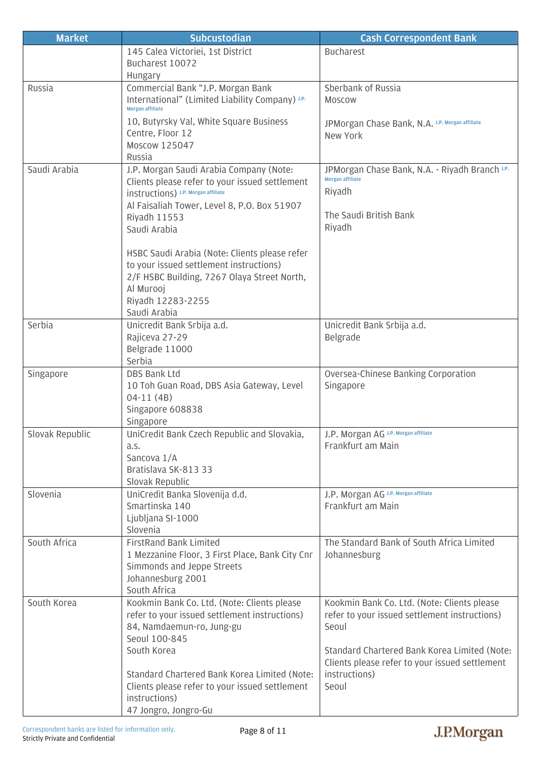| <b>Market</b>   | <b>Subcustodian</b>                                                                          | <b>Cash Correspondent Bank</b>                                                               |
|-----------------|----------------------------------------------------------------------------------------------|----------------------------------------------------------------------------------------------|
|                 | 145 Calea Victoriei, 1st District                                                            | <b>Bucharest</b>                                                                             |
|                 | Bucharest 10072                                                                              |                                                                                              |
|                 | Hungary                                                                                      |                                                                                              |
| Russia          | Commercial Bank "J.P. Morgan Bank                                                            | Sberbank of Russia                                                                           |
|                 | International" (Limited Liability Company) J.P.<br><b>Morgan affiliate</b>                   | Moscow                                                                                       |
|                 | 10, Butyrsky Val, White Square Business                                                      | JPMorgan Chase Bank, N.A. J.P. Morgan affiliate                                              |
|                 | Centre, Floor 12                                                                             | New York                                                                                     |
|                 | Moscow 125047                                                                                |                                                                                              |
|                 | Russia                                                                                       |                                                                                              |
| Saudi Arabia    | J.P. Morgan Saudi Arabia Company (Note:                                                      | JPMorgan Chase Bank, N.A. - Riyadh Branch J.P.                                               |
|                 | Clients please refer to your issued settlement                                               | <b>Morgan affiliate</b>                                                                      |
|                 | instructions) J.P. Morgan affiliate                                                          | Riyadh                                                                                       |
|                 | Al Faisaliah Tower, Level 8, P.O. Box 51907                                                  | The Saudi British Bank                                                                       |
|                 | Riyadh 11553                                                                                 | Riyadh                                                                                       |
|                 | Saudi Arabia                                                                                 |                                                                                              |
|                 | HSBC Saudi Arabia (Note: Clients please refer                                                |                                                                                              |
|                 | to your issued settlement instructions)                                                      |                                                                                              |
|                 | 2/F HSBC Building, 7267 Olaya Street North,                                                  |                                                                                              |
|                 | Al Murooj                                                                                    |                                                                                              |
|                 | Riyadh 12283-2255                                                                            |                                                                                              |
|                 | Saudi Arabia                                                                                 |                                                                                              |
| Serbia          | Unicredit Bank Srbija a.d.                                                                   | Unicredit Bank Srbija a.d.                                                                   |
|                 | Rajiceva 27-29                                                                               | Belgrade                                                                                     |
|                 | Belgrade 11000<br>Serbia                                                                     |                                                                                              |
| Singapore       | DBS Bank Ltd                                                                                 | Oversea-Chinese Banking Corporation                                                          |
|                 | 10 Toh Guan Road, DBS Asia Gateway, Level                                                    | Singapore                                                                                    |
|                 | $04-11(4B)$                                                                                  |                                                                                              |
|                 | Singapore 608838                                                                             |                                                                                              |
|                 | Singapore                                                                                    |                                                                                              |
| Slovak Republic | UniCredit Bank Czech Republic and Slovakia,                                                  | J.P. Morgan AG J.P. Morgan affiliate                                                         |
|                 | a.s.                                                                                         | Frankfurt am Main                                                                            |
|                 | Sancova 1/A                                                                                  |                                                                                              |
|                 | Bratislava SK-813 33<br>Slovak Republic                                                      |                                                                                              |
| Slovenia        | UniCredit Banka Slovenija d.d.                                                               | J.P. Morgan AG J.P. Morgan affiliate                                                         |
|                 | Smartinska 140                                                                               | Frankfurt am Main                                                                            |
|                 | Ljubljana SI-1000                                                                            |                                                                                              |
|                 | Slovenia                                                                                     |                                                                                              |
| South Africa    | <b>FirstRand Bank Limited</b>                                                                | The Standard Bank of South Africa Limited                                                    |
|                 | 1 Mezzanine Floor, 3 First Place, Bank City Cnr                                              | Johannesburg                                                                                 |
|                 | Simmonds and Jeppe Streets                                                                   |                                                                                              |
|                 | Johannesburg 2001                                                                            |                                                                                              |
| South Korea     | South Africa                                                                                 |                                                                                              |
|                 | Kookmin Bank Co. Ltd. (Note: Clients please<br>refer to your issued settlement instructions) | Kookmin Bank Co. Ltd. (Note: Clients please<br>refer to your issued settlement instructions) |
|                 | 84, Namdaemun-ro, Jung-gu                                                                    | Seoul                                                                                        |
|                 | Seoul 100-845                                                                                |                                                                                              |
|                 | South Korea                                                                                  | Standard Chartered Bank Korea Limited (Note:                                                 |
|                 |                                                                                              | Clients please refer to your issued settlement                                               |
|                 | Standard Chartered Bank Korea Limited (Note:                                                 | instructions)                                                                                |
|                 | Clients please refer to your issued settlement                                               | Seoul                                                                                        |
|                 | instructions)                                                                                |                                                                                              |
|                 | 47 Jongro, Jongro-Gu                                                                         |                                                                                              |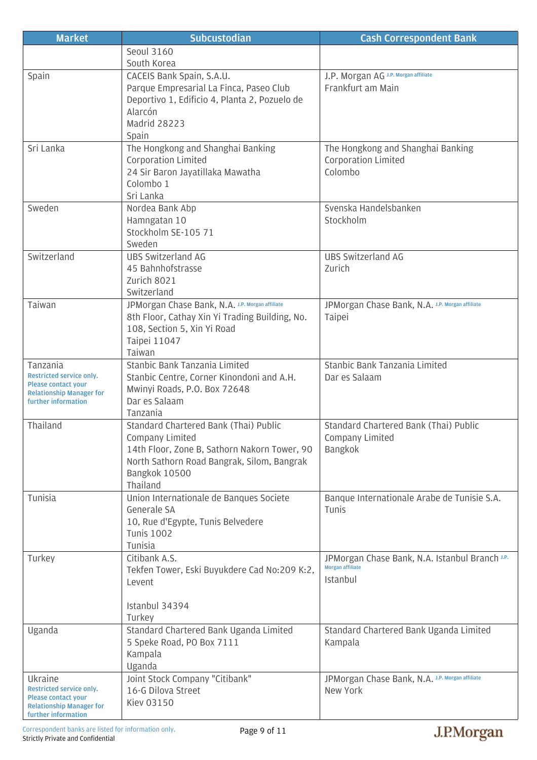| <b>Market</b>                                                 | <b>Subcustodian</b>                                                                      | <b>Cash Correspondent Bank</b>                  |
|---------------------------------------------------------------|------------------------------------------------------------------------------------------|-------------------------------------------------|
|                                                               | Seoul 3160                                                                               |                                                 |
|                                                               | South Korea                                                                              |                                                 |
| Spain                                                         | CACEIS Bank Spain, S.A.U.                                                                | J.P. Morgan AG J.P. Morgan affiliate            |
|                                                               | Parque Empresarial La Finca, Paseo Club<br>Deportivo 1, Edificio 4, Planta 2, Pozuelo de | Frankfurt am Main                               |
|                                                               | Alarcón                                                                                  |                                                 |
|                                                               | Madrid 28223                                                                             |                                                 |
|                                                               | Spain                                                                                    |                                                 |
| Sri Lanka                                                     | The Hongkong and Shanghai Banking                                                        | The Hongkong and Shanghai Banking               |
|                                                               | Corporation Limited                                                                      | <b>Corporation Limited</b>                      |
|                                                               | 24 Sir Baron Jayatillaka Mawatha                                                         | Colombo                                         |
|                                                               | Colombo 1<br>Sri Lanka                                                                   |                                                 |
| Sweden                                                        | Nordea Bank Abp                                                                          | Svenska Handelsbanken                           |
|                                                               | Hamngatan 10                                                                             | Stockholm                                       |
|                                                               | Stockholm SE-105 71                                                                      |                                                 |
|                                                               | Sweden                                                                                   |                                                 |
| Switzerland                                                   | <b>UBS Switzerland AG</b>                                                                | <b>UBS Switzerland AG</b>                       |
|                                                               | 45 Bahnhofstrasse                                                                        | Zurich                                          |
|                                                               | Zurich 8021<br>Switzerland                                                               |                                                 |
| Taiwan                                                        | JPMorgan Chase Bank, N.A. J.P. Morgan affiliate                                          | JPMorgan Chase Bank, N.A. J.P. Morgan affiliate |
|                                                               | 8th Floor, Cathay Xin Yi Trading Building, No.                                           | Taipei                                          |
|                                                               | 108, Section 5, Xin Yi Road                                                              |                                                 |
|                                                               | Taipei 11047                                                                             |                                                 |
|                                                               | Taiwan                                                                                   |                                                 |
| Tanzania<br>Restricted service only.                          | Stanbic Bank Tanzania Limited                                                            | Stanbic Bank Tanzania Limited                   |
| <b>Please contact your</b>                                    | Stanbic Centre, Corner Kinondoni and A.H.<br>Mwinyi Roads, P.O. Box 72648                | Dar es Salaam                                   |
| <b>Relationship Manager for</b><br>further information        | Dar es Salaam                                                                            |                                                 |
|                                                               | Tanzania                                                                                 |                                                 |
| Thailand                                                      | Standard Chartered Bank (Thai) Public                                                    | Standard Chartered Bank (Thai) Public           |
|                                                               | Company Limited                                                                          | Company Limited                                 |
|                                                               | 14th Floor, Zone B, Sathorn Nakorn Tower, 90                                             | Bangkok                                         |
|                                                               | North Sathorn Road Bangrak, Silom, Bangrak<br>Bangkok 10500                              |                                                 |
|                                                               | Thailand                                                                                 |                                                 |
| Tunisia                                                       | Union Internationale de Banques Societe                                                  | Banque Internationale Arabe de Tunisie S.A.     |
|                                                               | Generale SA                                                                              | Tunis                                           |
|                                                               | 10, Rue d'Egypte, Tunis Belvedere                                                        |                                                 |
|                                                               | <b>Tunis 1002</b>                                                                        |                                                 |
| Turkey                                                        | Tunisia<br>Citibank A.S.                                                                 | JPMorgan Chase Bank, N.A. Istanbul Branch J.P.  |
|                                                               | Tekfen Tower, Eski Buyukdere Cad No:209 K:2,                                             | <b>Morgan affiliate</b>                         |
|                                                               | Levent                                                                                   | Istanbul                                        |
|                                                               |                                                                                          |                                                 |
|                                                               | Istanbul 34394                                                                           |                                                 |
|                                                               | Turkey                                                                                   |                                                 |
| Uganda                                                        | Standard Chartered Bank Uganda Limited                                                   | Standard Chartered Bank Uganda Limited          |
|                                                               | 5 Speke Road, PO Box 7111<br>Kampala                                                     | Kampala                                         |
|                                                               | Uganda                                                                                   |                                                 |
| Ukraine                                                       | Joint Stock Company "Citibank"                                                           | JPMorgan Chase Bank, N.A. J.P. Morgan affiliate |
| Restricted service only.                                      | 16-G Dilova Street                                                                       | New York                                        |
| <b>Please contact your</b><br><b>Relationship Manager for</b> | <b>Kiev 03150</b>                                                                        |                                                 |
| further information                                           |                                                                                          |                                                 |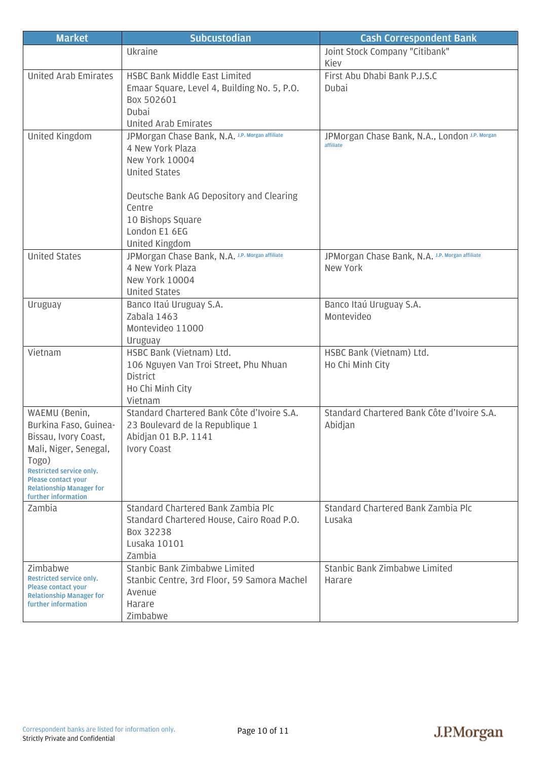| <b>Market</b>                                                                                                                                                                                                        | <b>Subcustodian</b>                                                                                                                                                                                                         | <b>Cash Correspondent Bank</b>                              |
|----------------------------------------------------------------------------------------------------------------------------------------------------------------------------------------------------------------------|-----------------------------------------------------------------------------------------------------------------------------------------------------------------------------------------------------------------------------|-------------------------------------------------------------|
|                                                                                                                                                                                                                      | Ukraine                                                                                                                                                                                                                     | Joint Stock Company "Citibank"<br>Kiev                      |
| <b>United Arab Emirates</b>                                                                                                                                                                                          | <b>HSBC Bank Middle East Limited</b><br>Emaar Square, Level 4, Building No. 5, P.O.<br>Box 502601<br>Dubai<br>United Arab Emirates                                                                                          | First Abu Dhabi Bank P.J.S.C<br>Dubai                       |
| United Kingdom                                                                                                                                                                                                       | JPMorgan Chase Bank, N.A. J.P. Morgan affiliate<br>4 New York Plaza<br>New York 10004<br><b>United States</b><br>Deutsche Bank AG Depository and Clearing<br>Centre<br>10 Bishops Square<br>London E1 6EG<br>United Kingdom | JPMorgan Chase Bank, N.A., London J.P. Morgan<br>affiliate  |
| <b>United States</b>                                                                                                                                                                                                 | JPMorgan Chase Bank, N.A. J.P. Morgan affiliate<br>4 New York Plaza<br>New York 10004<br><b>United States</b>                                                                                                               | JPMorgan Chase Bank, N.A. J.P. Morgan affiliate<br>New York |
| Uruguay                                                                                                                                                                                                              | Banco Itaú Uruguay S.A.<br>Zabala 1463<br>Montevideo 11000<br>Uruguay                                                                                                                                                       | Banco Itaú Uruguay S.A.<br>Montevideo                       |
| Vietnam                                                                                                                                                                                                              | HSBC Bank (Vietnam) Ltd.<br>106 Nguyen Van Troi Street, Phu Nhuan<br><b>District</b><br>Ho Chi Minh City<br>Vietnam                                                                                                         | HSBC Bank (Vietnam) Ltd.<br>Ho Chi Minh City                |
| WAEMU (Benin,<br>Burkina Faso, Guinea-<br>Bissau, Ivory Coast,<br>Mali, Niger, Senegal,<br>Togo)<br>Restricted service only.<br><b>Please contact your</b><br><b>Relationship Manager for</b><br>further information | Standard Chartered Bank Côte d'Ivoire S.A.<br>23 Boulevard de la Republique 1<br>Abidjan 01 B.P. 1141<br>Ivory Coast                                                                                                        | Standard Chartered Bank Côte d'Ivoire S.A.<br>Abidjan       |
| Zambia                                                                                                                                                                                                               | Standard Chartered Bank Zambia Plc<br>Standard Chartered House, Cairo Road P.O.<br>Box 32238<br>Lusaka 10101<br>Zambia                                                                                                      | Standard Chartered Bank Zambia Plc<br>Lusaka                |
| Zimbabwe<br>Restricted service only.<br><b>Please contact your</b><br><b>Relationship Manager for</b><br>further information                                                                                         | Stanbic Bank Zimbabwe Limited<br>Stanbic Centre, 3rd Floor, 59 Samora Machel<br>Avenue<br>Harare<br>Zimbabwe                                                                                                                | Stanbic Bank Zimbabwe Limited<br>Harare                     |